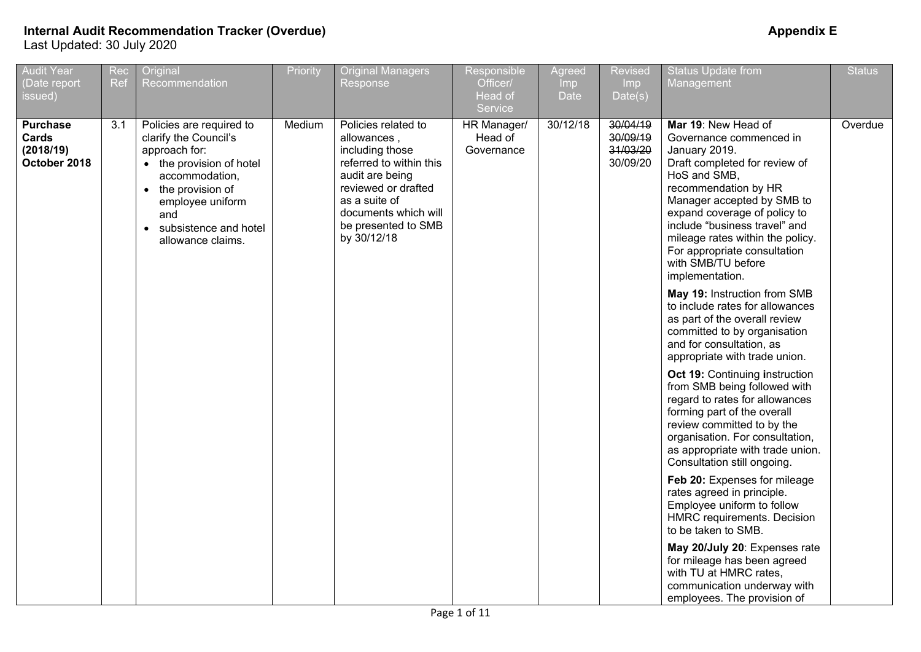| <b>Audit Year</b><br>Date report<br>issued)           | Rec<br>Ref                           | Original<br>Recommendation                                                                                                                                                                             | Priority | <b>Original Managers</b><br>Response                                                                                                                                                                      | Responsible<br>Officer/<br>Head of<br>Service | Agreed<br>Imp<br><b>Date</b> | Revised<br>Imp<br>Date(s)        | <b>Status Update from</b><br>Management                                                                                                                                                                                                                                                                                                              | <b>Status</b> |
|-------------------------------------------------------|--------------------------------------|--------------------------------------------------------------------------------------------------------------------------------------------------------------------------------------------------------|----------|-----------------------------------------------------------------------------------------------------------------------------------------------------------------------------------------------------------|-----------------------------------------------|------------------------------|----------------------------------|------------------------------------------------------------------------------------------------------------------------------------------------------------------------------------------------------------------------------------------------------------------------------------------------------------------------------------------------------|---------------|
| <b>Purchase</b><br>Cards<br>(2018/19)<br>October 2018 | 3.1<br>$\bullet$<br>and<br>$\bullet$ | Policies are required to<br>clarify the Council's<br>approach for:<br>• the provision of hotel<br>accommodation,<br>the provision of<br>employee uniform<br>subsistence and hotel<br>allowance claims. | Medium   | Policies related to<br>allowances,<br>including those<br>referred to within this<br>audit are being<br>reviewed or drafted<br>as a suite of<br>documents which will<br>be presented to SMB<br>by 30/12/18 | HR Manager/<br>Head of<br>Governance          | 30/12/18                     | 30/09/19<br>31/03/20<br>30/09/20 | Mar 19: New Head of<br>Governance commenced in<br>January 2019.<br>Draft completed for review of<br>HoS and SMB,<br>recommendation by HR<br>Manager accepted by SMB to<br>expand coverage of policy to<br>include "business travel" and<br>mileage rates within the policy.<br>For appropriate consultation<br>with SMB/TU before<br>implementation. | Overdue       |
|                                                       |                                      |                                                                                                                                                                                                        |          |                                                                                                                                                                                                           |                                               |                              |                                  | May 19: Instruction from SMB<br>to include rates for allowances<br>as part of the overall review<br>committed to by organisation<br>and for consultation, as<br>appropriate with trade union.                                                                                                                                                        |               |
|                                                       |                                      |                                                                                                                                                                                                        |          |                                                                                                                                                                                                           |                                               |                              |                                  | <b>Oct 19: Continuing instruction</b><br>from SMB being followed with<br>regard to rates for allowances<br>forming part of the overall<br>review committed to by the<br>organisation. For consultation,<br>as appropriate with trade union.<br>Consultation still ongoing.                                                                           |               |
|                                                       |                                      |                                                                                                                                                                                                        |          |                                                                                                                                                                                                           |                                               |                              |                                  | Feb 20: Expenses for mileage<br>rates agreed in principle.<br>Employee uniform to follow<br>HMRC requirements. Decision<br>to be taken to SMB.                                                                                                                                                                                                       |               |
|                                                       |                                      |                                                                                                                                                                                                        |          |                                                                                                                                                                                                           |                                               |                              |                                  | May 20/July 20: Expenses rate<br>for mileage has been agreed<br>with TU at HMRC rates,<br>communication underway with<br>employees. The provision of                                                                                                                                                                                                 |               |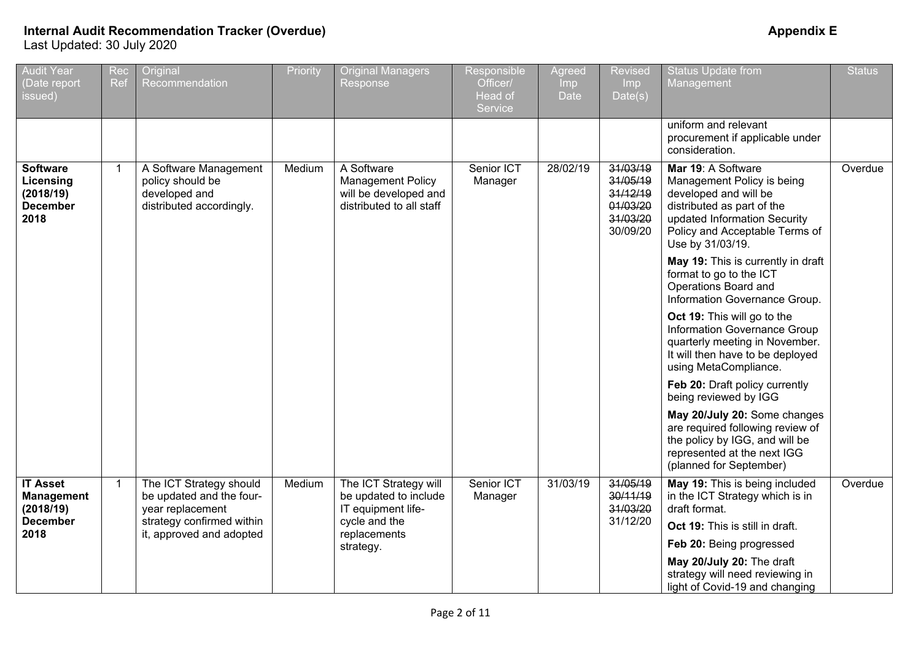| <b>Audit Year</b><br>(Date report<br>issued)                         | Rec<br>Ref   | Original<br>Recommendation                                                             | Priority | <b>Original Managers</b><br>Response                                                        | Responsible<br>Officer/<br>Head of<br>Service | Agreed<br><b>Imp</b><br>Date | <b>Revised</b><br>Imp<br>Date(s)                                     | <b>Status Update from</b><br>Management                                                                                                                                                       | <b>Status</b> |
|----------------------------------------------------------------------|--------------|----------------------------------------------------------------------------------------|----------|---------------------------------------------------------------------------------------------|-----------------------------------------------|------------------------------|----------------------------------------------------------------------|-----------------------------------------------------------------------------------------------------------------------------------------------------------------------------------------------|---------------|
|                                                                      |              |                                                                                        |          |                                                                                             |                                               |                              |                                                                      | uniform and relevant<br>procurement if applicable under<br>consideration.                                                                                                                     |               |
| <b>Software</b><br>Licensing<br>(2018/19)<br><b>December</b><br>2018 |              | A Software Management<br>policy should be<br>developed and<br>distributed accordingly. | Medium   | A Software<br><b>Management Policy</b><br>will be developed and<br>distributed to all staff | Senior ICT<br>Manager                         | 28/02/19                     | 31/03/19<br>31/05/19<br>31/12/19<br>01/03/20<br>31/03/20<br>30/09/20 | Mar 19: A Software<br>Management Policy is being<br>developed and will be<br>distributed as part of the<br>updated Information Security<br>Policy and Acceptable Terms of<br>Use by 31/03/19. | Overdue       |
|                                                                      |              |                                                                                        |          |                                                                                             |                                               |                              |                                                                      | May 19: This is currently in draft<br>format to go to the ICT<br>Operations Board and<br>Information Governance Group.                                                                        |               |
|                                                                      |              |                                                                                        |          |                                                                                             |                                               |                              |                                                                      | Oct 19: This will go to the<br>Information Governance Group<br>quarterly meeting in November.<br>It will then have to be deployed<br>using MetaCompliance.                                    |               |
|                                                                      |              |                                                                                        |          |                                                                                             |                                               |                              |                                                                      | Feb 20: Draft policy currently<br>being reviewed by IGG                                                                                                                                       |               |
|                                                                      |              |                                                                                        |          |                                                                                             |                                               |                              |                                                                      | May 20/July 20: Some changes<br>are required following review of<br>the policy by IGG, and will be<br>represented at the next IGG<br>(planned for September)                                  |               |
| <b>IT Asset</b><br><b>Management</b><br>(2018/19)                    | $\mathbf{1}$ | The ICT Strategy should<br>be updated and the four-<br>year replacement                | Medium   | The ICT Strategy will<br>be updated to include<br>IT equipment life-                        | Senior ICT<br>Manager                         | 31/03/19                     | 31/05/19<br>30/11/19<br>31/03/20                                     | May 19: This is being included<br>in the ICT Strategy which is in<br>draft format.                                                                                                            | Overdue       |
| <b>December</b><br>2018                                              |              | strategy confirmed within<br>it, approved and adopted                                  |          | cycle and the<br>replacements                                                               |                                               |                              | 31/12/20                                                             | Oct 19: This is still in draft.                                                                                                                                                               |               |
|                                                                      |              |                                                                                        |          | strategy.                                                                                   |                                               |                              |                                                                      | Feb 20: Being progressed                                                                                                                                                                      |               |
|                                                                      |              |                                                                                        |          |                                                                                             |                                               |                              |                                                                      | May 20/July 20: The draft<br>strategy will need reviewing in<br>light of Covid-19 and changing                                                                                                |               |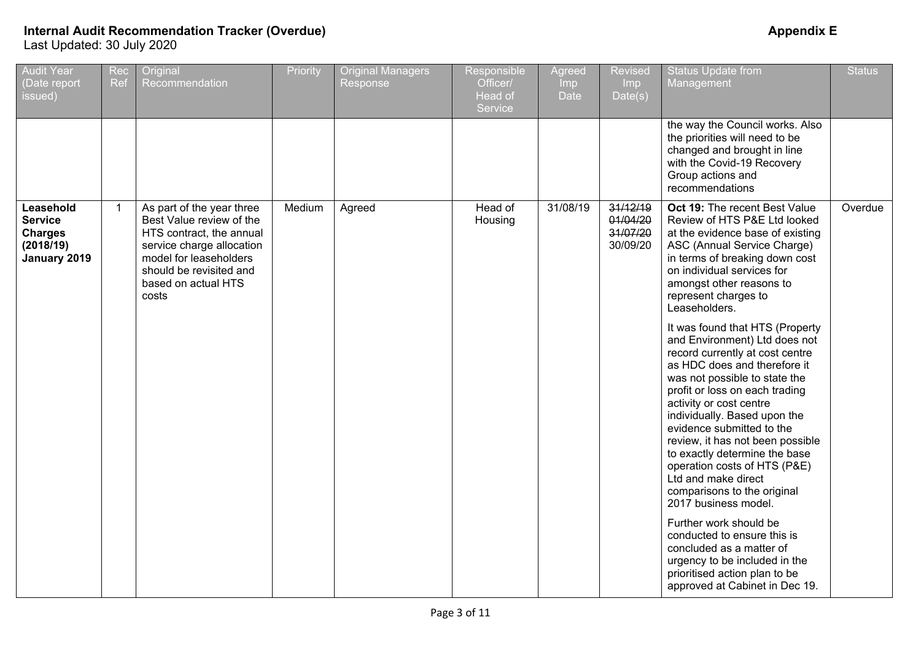| <b>Audit Year</b><br>Date report<br>issued)                                | Rec<br>Ref     | Original<br>Recommendation                                                                                                                                                                          | Priority | <b>Original Managers</b><br>Response | Responsible<br>Officer/<br>Head of<br>Service | Agreed<br>Imp<br>Date | <b>Revised</b><br>Imp<br>Date(s)             | <b>Status Update from</b><br>Management                                                                                                                                                                                                                                                                                                                                                                                                                                           | <b>Status</b> |
|----------------------------------------------------------------------------|----------------|-----------------------------------------------------------------------------------------------------------------------------------------------------------------------------------------------------|----------|--------------------------------------|-----------------------------------------------|-----------------------|----------------------------------------------|-----------------------------------------------------------------------------------------------------------------------------------------------------------------------------------------------------------------------------------------------------------------------------------------------------------------------------------------------------------------------------------------------------------------------------------------------------------------------------------|---------------|
|                                                                            |                |                                                                                                                                                                                                     |          |                                      |                                               |                       |                                              | the way the Council works. Also<br>the priorities will need to be<br>changed and brought in line<br>with the Covid-19 Recovery<br>Group actions and<br>recommendations                                                                                                                                                                                                                                                                                                            |               |
| Leasehold<br><b>Service</b><br><b>Charges</b><br>(2018/19)<br>January 2019 | $\overline{1}$ | As part of the year three<br>Best Value review of the<br>HTS contract, the annual<br>service charge allocation<br>model for leaseholders<br>should be revisited and<br>based on actual HTS<br>costs | Medium   | Agreed                               | Head of<br>Housing                            | 31/08/19              | 31/12/19<br>01/04/20<br>31/07/20<br>30/09/20 | Oct 19: The recent Best Value<br>Review of HTS P&E Ltd looked<br>at the evidence base of existing<br>ASC (Annual Service Charge)<br>in terms of breaking down cost<br>on individual services for<br>amongst other reasons to<br>represent charges to<br>Leaseholders.                                                                                                                                                                                                             | Overdue       |
|                                                                            |                |                                                                                                                                                                                                     |          |                                      |                                               |                       |                                              | It was found that HTS (Property<br>and Environment) Ltd does not<br>record currently at cost centre<br>as HDC does and therefore it<br>was not possible to state the<br>profit or loss on each trading<br>activity or cost centre<br>individually. Based upon the<br>evidence submitted to the<br>review, it has not been possible<br>to exactly determine the base<br>operation costs of HTS (P&E)<br>Ltd and make direct<br>comparisons to the original<br>2017 business model. |               |
|                                                                            |                |                                                                                                                                                                                                     |          |                                      |                                               |                       |                                              | Further work should be<br>conducted to ensure this is<br>concluded as a matter of<br>urgency to be included in the<br>prioritised action plan to be<br>approved at Cabinet in Dec 19.                                                                                                                                                                                                                                                                                             |               |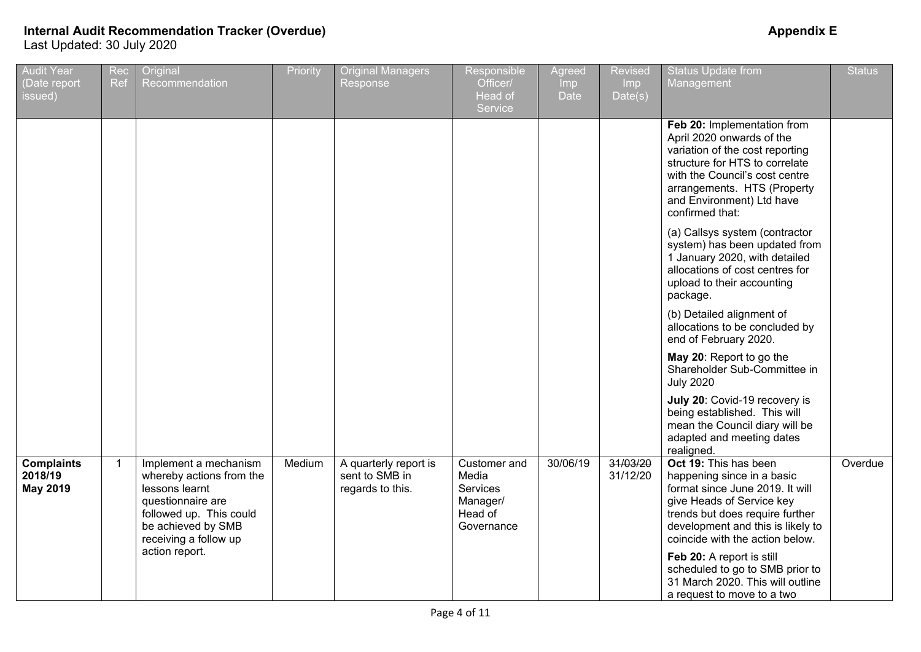# **Internal Audit Recommendation Tracker (Overdue) Appendix E**

Last Updated: 30 July 2020

| <b>Audit Year</b><br>(Date report<br>issued)    | Rec<br>Ref | Original<br>Recommendation                                                                                                                                         | Priority | <b>Original Managers</b><br>Response                        | Responsible<br>Officer/<br>Head of<br>Service                          | Agreed<br>Imp<br><b>Date</b> | Revised<br>Imp<br>Date(s) | <b>Status Update from</b><br>Management                                                                                                                                                                                                        | <b>Status</b> |
|-------------------------------------------------|------------|--------------------------------------------------------------------------------------------------------------------------------------------------------------------|----------|-------------------------------------------------------------|------------------------------------------------------------------------|------------------------------|---------------------------|------------------------------------------------------------------------------------------------------------------------------------------------------------------------------------------------------------------------------------------------|---------------|
|                                                 |            |                                                                                                                                                                    |          |                                                             |                                                                        |                              |                           | Feb 20: Implementation from<br>April 2020 onwards of the<br>variation of the cost reporting<br>structure for HTS to correlate<br>with the Council's cost centre<br>arrangements. HTS (Property<br>and Environment) Ltd have<br>confirmed that: |               |
|                                                 |            |                                                                                                                                                                    |          |                                                             |                                                                        |                              |                           | (a) Callsys system (contractor<br>system) has been updated from<br>1 January 2020, with detailed<br>allocations of cost centres for<br>upload to their accounting<br>package.                                                                  |               |
|                                                 |            |                                                                                                                                                                    |          |                                                             |                                                                        |                              |                           | (b) Detailed alignment of<br>allocations to be concluded by<br>end of February 2020.                                                                                                                                                           |               |
|                                                 |            |                                                                                                                                                                    |          |                                                             |                                                                        |                              |                           | May 20: Report to go the<br>Shareholder Sub-Committee in<br><b>July 2020</b>                                                                                                                                                                   |               |
|                                                 |            |                                                                                                                                                                    |          |                                                             |                                                                        |                              |                           | July 20: Covid-19 recovery is<br>being established. This will<br>mean the Council diary will be<br>adapted and meeting dates<br>realigned.                                                                                                     |               |
| <b>Complaints</b><br>2018/19<br><b>May 2019</b> | -1         | Implement a mechanism<br>whereby actions from the<br>lessons learnt<br>questionnaire are<br>followed up. This could<br>be achieved by SMB<br>receiving a follow up | Medium   | A quarterly report is<br>sent to SMB in<br>regards to this. | Customer and<br>Media<br>Services<br>Manager/<br>Head of<br>Governance | 30/06/19                     | 31/03/20<br>31/12/20      | Oct 19: This has been<br>happening since in a basic<br>format since June 2019. It will<br>give Heads of Service key<br>trends but does require further<br>development and this is likely to<br>coincide with the action below.                 | Overdue       |
|                                                 |            | action report.                                                                                                                                                     |          |                                                             |                                                                        |                              |                           | Feb 20: A report is still<br>scheduled to go to SMB prior to<br>31 March 2020. This will outline<br>a request to move to a two                                                                                                                 |               |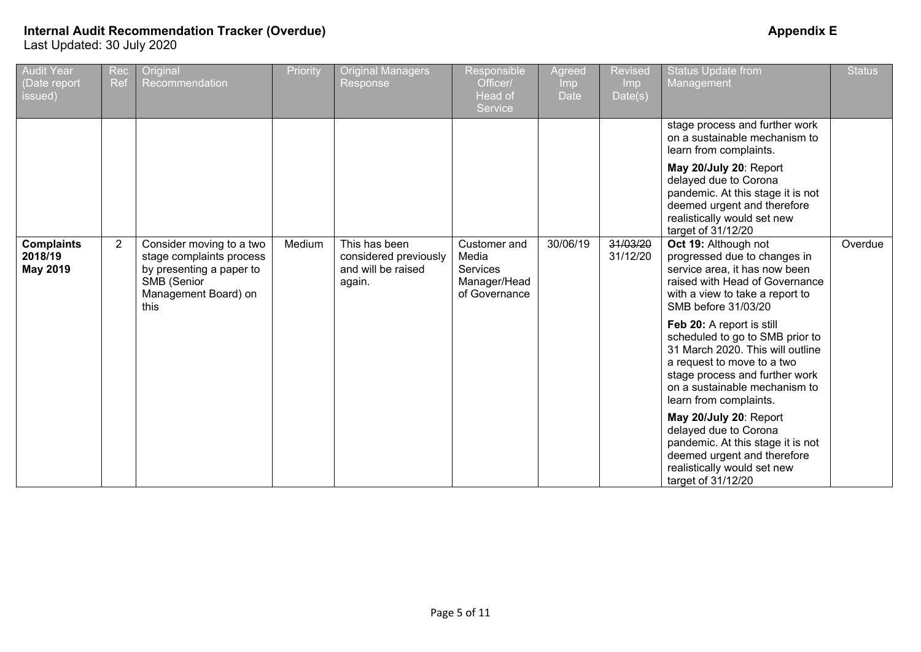# **Internal Audit Recommendation Tracker (Overdue) Appendix E**

Last Updated: 30 July 2020

| <b>Audit Year</b><br>Date report<br>issued) | Rec<br>Ref     | Original<br>Recommendation                                                                                                      | Priority | Original Managers<br>Response                                          | Responsible<br>Officer/<br>Head of<br>Service                      | Agreed<br><b>Imp</b><br><b>Date</b> | <b>Revised</b><br><b>Imp</b><br>Date(s) | <b>Status Update from</b><br>Management                                                                                                                                                                                     | <b>Status</b> |
|---------------------------------------------|----------------|---------------------------------------------------------------------------------------------------------------------------------|----------|------------------------------------------------------------------------|--------------------------------------------------------------------|-------------------------------------|-----------------------------------------|-----------------------------------------------------------------------------------------------------------------------------------------------------------------------------------------------------------------------------|---------------|
|                                             |                |                                                                                                                                 |          |                                                                        |                                                                    |                                     |                                         | stage process and further work<br>on a sustainable mechanism to<br>learn from complaints.                                                                                                                                   |               |
|                                             |                |                                                                                                                                 |          |                                                                        |                                                                    |                                     |                                         | May 20/July 20: Report<br>delayed due to Corona<br>pandemic. At this stage it is not<br>deemed urgent and therefore<br>realistically would set new<br>target of 31/12/20                                                    |               |
| <b>Complaints</b><br>2018/19<br>May 2019    | $\overline{2}$ | Consider moving to a two<br>stage complaints process<br>by presenting a paper to<br>SMB (Senior<br>Management Board) on<br>this | Medium   | This has been<br>considered previously<br>and will be raised<br>again. | Customer and<br>Media<br>Services<br>Manager/Head<br>of Governance | 30/06/19                            | 31/03/20<br>31/12/20                    | Oct 19: Although not<br>progressed due to changes in<br>service area, it has now been<br>raised with Head of Governance<br>with a view to take a report to<br>SMB before 31/03/20                                           | Overdue       |
|                                             |                |                                                                                                                                 |          |                                                                        |                                                                    |                                     |                                         | Feb 20: A report is still<br>scheduled to go to SMB prior to<br>31 March 2020. This will outline<br>a request to move to a two<br>stage process and further work<br>on a sustainable mechanism to<br>learn from complaints. |               |
|                                             |                |                                                                                                                                 |          |                                                                        |                                                                    |                                     |                                         | May 20/July 20: Report<br>delayed due to Corona<br>pandemic. At this stage it is not<br>deemed urgent and therefore<br>realistically would set new<br>target of 31/12/20                                                    |               |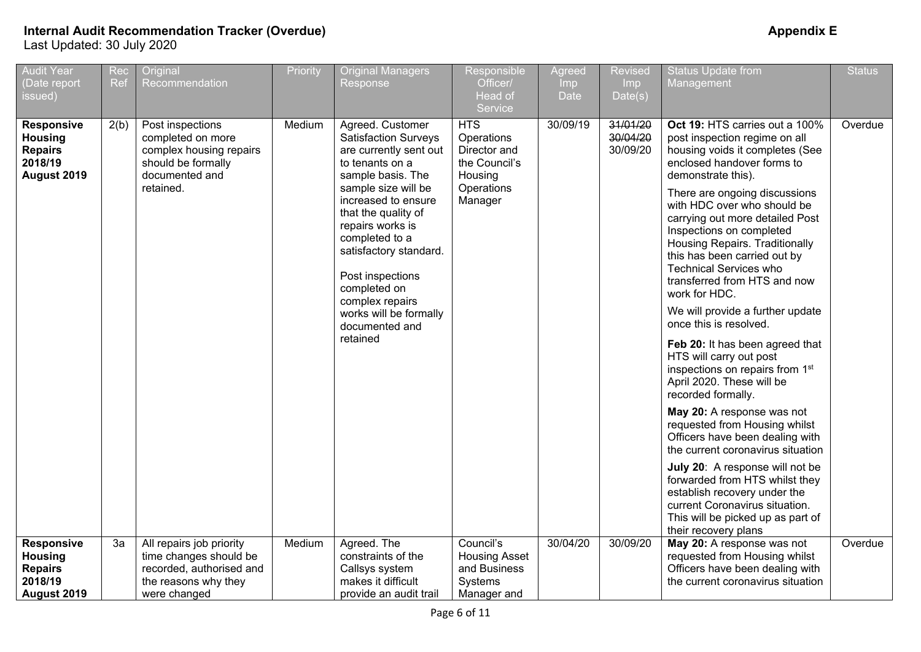| <b>Audit Year</b><br>Date report<br>issued)                                     | Rec<br>Ref | Original<br>Recommendation                                                                                             | Priority | <b>Original Managers</b><br>Response                                                                                                                                                                                                                                                                                                                                  | Responsible<br>Officer/<br>Head of<br>Service                                                 | Agreed<br>Imp<br>Date | <b>Revised</b><br>Imp<br>Date(s) | <b>Status Update from</b><br>Management                                                                                                                                                                                                                                                                                                                                                                                                                                                                                                                                                                                                                                                                                                                                                                                                                                                                                                                                        | <b>Status</b> |
|---------------------------------------------------------------------------------|------------|------------------------------------------------------------------------------------------------------------------------|----------|-----------------------------------------------------------------------------------------------------------------------------------------------------------------------------------------------------------------------------------------------------------------------------------------------------------------------------------------------------------------------|-----------------------------------------------------------------------------------------------|-----------------------|----------------------------------|--------------------------------------------------------------------------------------------------------------------------------------------------------------------------------------------------------------------------------------------------------------------------------------------------------------------------------------------------------------------------------------------------------------------------------------------------------------------------------------------------------------------------------------------------------------------------------------------------------------------------------------------------------------------------------------------------------------------------------------------------------------------------------------------------------------------------------------------------------------------------------------------------------------------------------------------------------------------------------|---------------|
| <b>Responsive</b><br><b>Housing</b><br><b>Repairs</b><br>2018/19<br>August 2019 | 2(b)       | Post inspections<br>completed on more<br>complex housing repairs<br>should be formally<br>documented and<br>retained.  | Medium   | Agreed. Customer<br><b>Satisfaction Surveys</b><br>are currently sent out<br>to tenants on a<br>sample basis. The<br>sample size will be<br>increased to ensure<br>that the quality of<br>repairs works is<br>completed to a<br>satisfactory standard.<br>Post inspections<br>completed on<br>complex repairs<br>works will be formally<br>documented and<br>retained | <b>HTS</b><br>Operations<br>Director and<br>the Council's<br>Housing<br>Operations<br>Manager | 30/09/19              | 31/01/20<br>30/04/20<br>30/09/20 | Oct 19: HTS carries out a 100%<br>post inspection regime on all<br>housing voids it completes (See<br>enclosed handover forms to<br>demonstrate this).<br>There are ongoing discussions<br>with HDC over who should be<br>carrying out more detailed Post<br>Inspections on completed<br>Housing Repairs. Traditionally<br>this has been carried out by<br><b>Technical Services who</b><br>transferred from HTS and now<br>work for HDC.<br>We will provide a further update<br>once this is resolved.<br>Feb 20: It has been agreed that<br>HTS will carry out post<br>inspections on repairs from 1st<br>April 2020. These will be<br>recorded formally.<br>May 20: A response was not<br>requested from Housing whilst<br>Officers have been dealing with<br>the current coronavirus situation<br>July 20: A response will not be<br>forwarded from HTS whilst they<br>establish recovery under the<br>current Coronavirus situation.<br>This will be picked up as part of | Overdue       |
| <b>Responsive</b><br><b>Housing</b><br><b>Repairs</b><br>2018/19<br>August 2019 | 3a         | All repairs job priority<br>time changes should be<br>recorded, authorised and<br>the reasons why they<br>were changed | Medium   | Agreed. The<br>constraints of the<br>Callsys system<br>makes it difficult<br>provide an audit trail                                                                                                                                                                                                                                                                   | Council's<br><b>Housing Asset</b><br>and Business<br>Systems<br>Manager and                   | 30/04/20              | 30/09/20                         | their recovery plans<br>May 20: A response was not<br>requested from Housing whilst<br>Officers have been dealing with<br>the current coronavirus situation                                                                                                                                                                                                                                                                                                                                                                                                                                                                                                                                                                                                                                                                                                                                                                                                                    | Overdue       |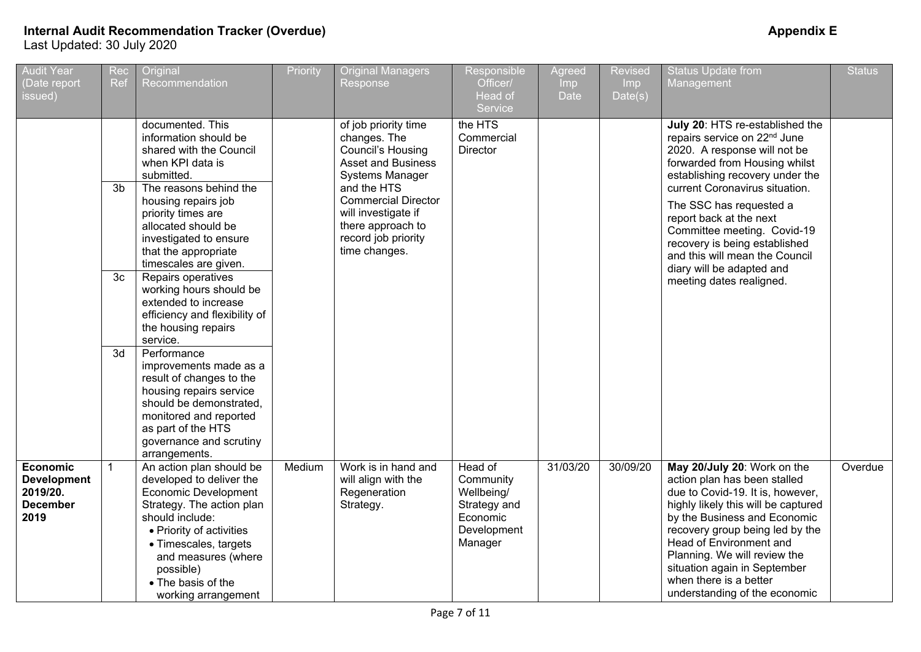| <b>Audit Year</b><br>(Date report<br>issued)                                 | Rec<br>Ref     | Original<br>Recommendation                                                                                                                                                                                                                                                | Priority | <b>Original Managers</b><br>Response                                                                                     | Responsible<br>Officer/<br>Head of<br><b>Service</b>                                     | Agreed<br>Imp<br><b>Date</b> | <b>Revised</b><br>Imp<br>Date(s) | <b>Status Update from</b><br>Management                                                                                                                                                                                                                                                                                                                         | <b>Status</b> |
|------------------------------------------------------------------------------|----------------|---------------------------------------------------------------------------------------------------------------------------------------------------------------------------------------------------------------------------------------------------------------------------|----------|--------------------------------------------------------------------------------------------------------------------------|------------------------------------------------------------------------------------------|------------------------------|----------------------------------|-----------------------------------------------------------------------------------------------------------------------------------------------------------------------------------------------------------------------------------------------------------------------------------------------------------------------------------------------------------------|---------------|
|                                                                              | 3 <sub>b</sub> | documented. This<br>information should be<br>shared with the Council<br>when KPI data is<br>submitted.<br>The reasons behind the                                                                                                                                          |          | of job priority time<br>changes. The<br>Council's Housing<br><b>Asset and Business</b><br>Systems Manager<br>and the HTS | the HTS<br>Commercial<br>Director                                                        |                              |                                  | July 20: HTS re-established the<br>repairs service on 22 <sup>nd</sup> June<br>2020. A response will not be<br>forwarded from Housing whilst<br>establishing recovery under the<br>current Coronavirus situation.                                                                                                                                               |               |
|                                                                              |                | housing repairs job<br>priority times are<br>allocated should be<br>investigated to ensure<br>that the appropriate<br>timescales are given.                                                                                                                               |          | <b>Commercial Director</b><br>will investigate if<br>there approach to<br>record job priority<br>time changes.           |                                                                                          |                              |                                  | The SSC has requested a<br>report back at the next<br>Committee meeting. Covid-19<br>recovery is being established<br>and this will mean the Council<br>diary will be adapted and                                                                                                                                                                               |               |
|                                                                              | 3 <sub>c</sub> | Repairs operatives<br>working hours should be<br>extended to increase<br>efficiency and flexibility of<br>the housing repairs<br>service.                                                                                                                                 |          |                                                                                                                          |                                                                                          |                              |                                  | meeting dates realigned.                                                                                                                                                                                                                                                                                                                                        |               |
|                                                                              | 3d             | Performance<br>improvements made as a<br>result of changes to the<br>housing repairs service<br>should be demonstrated.<br>monitored and reported<br>as part of the HTS<br>governance and scrutiny<br>arrangements.                                                       |          |                                                                                                                          |                                                                                          |                              |                                  |                                                                                                                                                                                                                                                                                                                                                                 |               |
| <b>Economic</b><br><b>Development</b><br>2019/20.<br><b>December</b><br>2019 | $\mathbf{1}$   | An action plan should be<br>developed to deliver the<br><b>Economic Development</b><br>Strategy. The action plan<br>should include:<br>• Priority of activities<br>• Timescales, targets<br>and measures (where<br>possible)<br>• The basis of the<br>working arrangement | Medium   | Work is in hand and<br>will align with the<br>Regeneration<br>Strategy.                                                  | Head of<br>Community<br>Wellbeing/<br>Strategy and<br>Economic<br>Development<br>Manager | 31/03/20                     | 30/09/20                         | May 20/July 20: Work on the<br>action plan has been stalled<br>due to Covid-19. It is, however,<br>highly likely this will be captured<br>by the Business and Economic<br>recovery group being led by the<br>Head of Environment and<br>Planning. We will review the<br>situation again in September<br>when there is a better<br>understanding of the economic | Overdue       |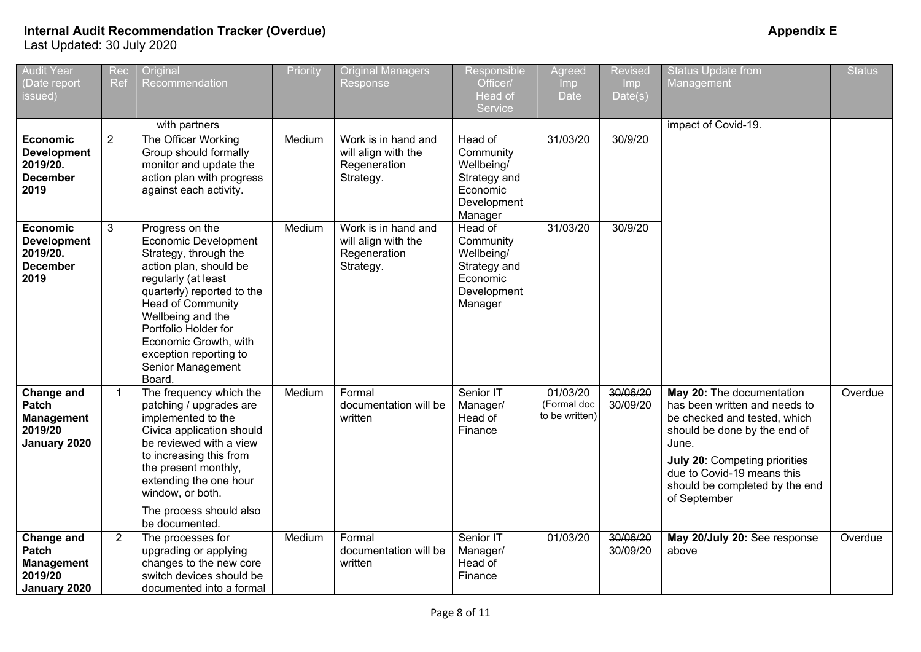| <b>Audit Year</b>                                                            | Rec            | Original                                                                                                                                                                                                                                                                                                   | Priority | <b>Original Managers</b>                                                | Responsible                                                                              | Agreed                                    | <b>Revised</b>       | <b>Status Update from</b>                                                                                                                                                                                                                            | <b>Status</b> |
|------------------------------------------------------------------------------|----------------|------------------------------------------------------------------------------------------------------------------------------------------------------------------------------------------------------------------------------------------------------------------------------------------------------------|----------|-------------------------------------------------------------------------|------------------------------------------------------------------------------------------|-------------------------------------------|----------------------|------------------------------------------------------------------------------------------------------------------------------------------------------------------------------------------------------------------------------------------------------|---------------|
| (Date report<br>issued)                                                      | Ref            | Recommendation                                                                                                                                                                                                                                                                                             |          | Response                                                                | Officer/<br>Head of                                                                      | Imp<br>Date                               | Imp<br>Date(s)       | Management                                                                                                                                                                                                                                           |               |
|                                                                              |                |                                                                                                                                                                                                                                                                                                            |          |                                                                         | Service                                                                                  |                                           |                      |                                                                                                                                                                                                                                                      |               |
|                                                                              |                | with partners                                                                                                                                                                                                                                                                                              |          |                                                                         |                                                                                          |                                           |                      | impact of Covid-19.                                                                                                                                                                                                                                  |               |
| <b>Economic</b><br><b>Development</b><br>2019/20.<br><b>December</b><br>2019 | $\overline{2}$ | The Officer Working<br>Group should formally<br>monitor and update the<br>action plan with progress<br>against each activity.                                                                                                                                                                              | Medium   | Work is in hand and<br>will align with the<br>Regeneration<br>Strategy. | Head of<br>Community<br>Wellbeing/<br>Strategy and<br>Economic<br>Development<br>Manager | 31/03/20                                  | 30/9/20              |                                                                                                                                                                                                                                                      |               |
| Economic<br><b>Development</b><br>2019/20.<br><b>December</b><br>2019        | 3              | Progress on the<br>Economic Development<br>Strategy, through the<br>action plan, should be<br>regularly (at least<br>quarterly) reported to the<br><b>Head of Community</b><br>Wellbeing and the<br>Portfolio Holder for<br>Economic Growth, with<br>exception reporting to<br>Senior Management<br>Board. | Medium   | Work is in hand and<br>will align with the<br>Regeneration<br>Strategy. | Head of<br>Community<br>Wellbeing/<br>Strategy and<br>Economic<br>Development<br>Manager | 31/03/20                                  | 30/9/20              |                                                                                                                                                                                                                                                      |               |
| Change and<br>Patch<br><b>Management</b><br>2019/20<br>January 2020          | $\mathbf{1}$   | The frequency which the<br>patching / upgrades are<br>implemented to the<br>Civica application should<br>be reviewed with a view<br>to increasing this from<br>the present monthly,<br>extending the one hour<br>window, or both.<br>The process should also<br>be documented.                             | Medium   | Formal<br>documentation will be<br>written                              | Senior IT<br>Manager/<br>Head of<br>Finance                                              | 01/03/20<br>(Formal doc<br>to be written) | 30/06/20<br>30/09/20 | May 20: The documentation<br>has been written and needs to<br>be checked and tested, which<br>should be done by the end of<br>June.<br>July 20: Competing priorities<br>due to Covid-19 means this<br>should be completed by the end<br>of September | Overdue       |
| <b>Change and</b><br>Patch<br><b>Management</b><br>2019/20<br>January 2020   | $\overline{2}$ | The processes for<br>upgrading or applying<br>changes to the new core<br>switch devices should be<br>documented into a formal                                                                                                                                                                              | Medium   | Formal<br>documentation will be<br>written                              | Senior IT<br>Manager/<br>Head of<br>Finance                                              | 01/03/20                                  | 30/06/20<br>30/09/20 | May 20/July 20: See response<br>above                                                                                                                                                                                                                | Overdue       |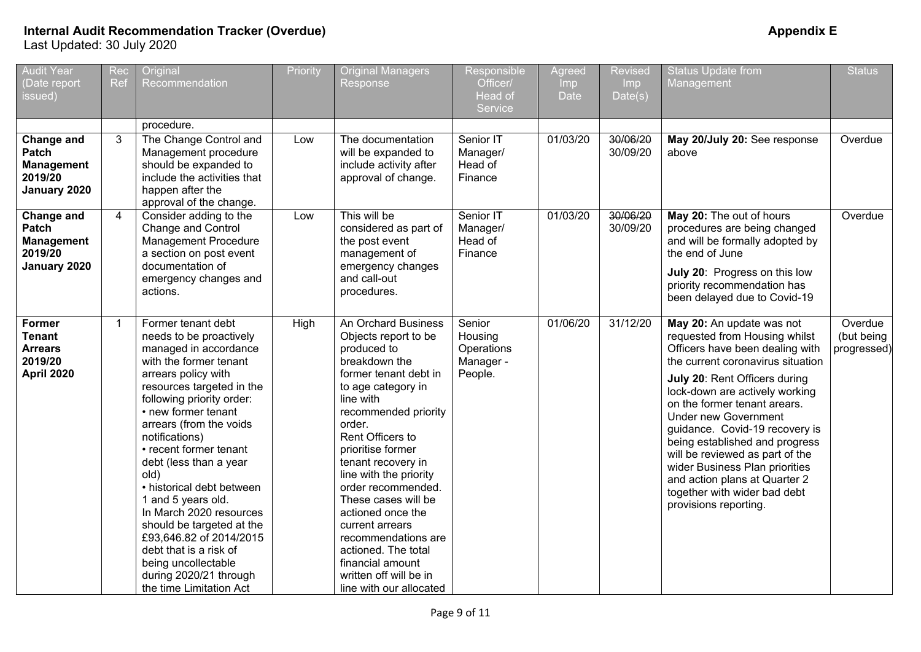| <b>Audit Year</b><br>(Date report<br>issued)                        | Rec<br>Ref     | Original<br>Recommendation                                                                                                                                                                                                                                                                                                                                                                                                                                                                                                                                    | Priority | <b>Original Managers</b><br>Response                                                                                                                                                                                                                                                                                                                                                                                                                                           | Responsible<br>Officer/<br>Head of<br>Service           | Agreed<br><b>Imp</b><br><b>Date</b> | <b>Revised</b><br><b>Imp</b><br>Date(s) | <b>Status Update from</b><br>Management                                                                                                                                                                                                                                                                                                                                                                                                                                                                 | <b>Status</b>                        |
|---------------------------------------------------------------------|----------------|---------------------------------------------------------------------------------------------------------------------------------------------------------------------------------------------------------------------------------------------------------------------------------------------------------------------------------------------------------------------------------------------------------------------------------------------------------------------------------------------------------------------------------------------------------------|----------|--------------------------------------------------------------------------------------------------------------------------------------------------------------------------------------------------------------------------------------------------------------------------------------------------------------------------------------------------------------------------------------------------------------------------------------------------------------------------------|---------------------------------------------------------|-------------------------------------|-----------------------------------------|---------------------------------------------------------------------------------------------------------------------------------------------------------------------------------------------------------------------------------------------------------------------------------------------------------------------------------------------------------------------------------------------------------------------------------------------------------------------------------------------------------|--------------------------------------|
|                                                                     |                | procedure.                                                                                                                                                                                                                                                                                                                                                                                                                                                                                                                                                    |          |                                                                                                                                                                                                                                                                                                                                                                                                                                                                                |                                                         |                                     |                                         |                                                                                                                                                                                                                                                                                                                                                                                                                                                                                                         |                                      |
| Change and<br>Patch<br><b>Management</b><br>2019/20<br>January 2020 | 3              | The Change Control and<br>Management procedure<br>should be expanded to<br>include the activities that<br>happen after the<br>approval of the change.                                                                                                                                                                                                                                                                                                                                                                                                         | Low      | The documentation<br>will be expanded to<br>include activity after<br>approval of change.                                                                                                                                                                                                                                                                                                                                                                                      | Senior IT<br>Manager/<br>Head of<br>Finance             | 01/03/20                            | 30/06/20<br>30/09/20                    | May 20/July 20: See response<br>above                                                                                                                                                                                                                                                                                                                                                                                                                                                                   | Overdue                              |
| Change and<br>Patch<br><b>Management</b><br>2019/20<br>January 2020 | $\overline{4}$ | Consider adding to the<br>Change and Control<br>Management Procedure<br>a section on post event<br>documentation of<br>emergency changes and<br>actions.                                                                                                                                                                                                                                                                                                                                                                                                      | Low      | This will be<br>considered as part of<br>the post event<br>management of<br>emergency changes<br>and call-out<br>procedures.                                                                                                                                                                                                                                                                                                                                                   | Senior IT<br>Manager/<br>Head of<br>Finance             | 01/03/20                            | 30/06/20<br>30/09/20                    | May 20: The out of hours<br>procedures are being changed<br>and will be formally adopted by<br>the end of June<br>July 20: Progress on this low<br>priority recommendation has<br>been delayed due to Covid-19                                                                                                                                                                                                                                                                                          | Overdue                              |
| Former<br><b>Tenant</b><br><b>Arrears</b><br>2019/20<br>April 2020  | $\mathbf 1$    | Former tenant debt<br>needs to be proactively<br>managed in accordance<br>with the former tenant<br>arrears policy with<br>resources targeted in the<br>following priority order:<br>• new former tenant<br>arrears (from the voids<br>notifications)<br>• recent former tenant<br>debt (less than a year<br>old)<br>• historical debt between<br>1 and 5 years old.<br>In March 2020 resources<br>should be targeted at the<br>£93,646.82 of 2014/2015<br>debt that is a risk of<br>being uncollectable<br>during 2020/21 through<br>the time Limitation Act | High     | An Orchard Business<br>Objects report to be<br>produced to<br>breakdown the<br>former tenant debt in<br>to age category in<br>line with<br>recommended priority<br>order.<br>Rent Officers to<br>prioritise former<br>tenant recovery in<br>line with the priority<br>order recommended.<br>These cases will be<br>actioned once the<br>current arrears<br>recommendations are<br>actioned. The total<br>financial amount<br>written off will be in<br>line with our allocated | Senior<br>Housing<br>Operations<br>Manager -<br>People. | 01/06/20                            | 31/12/20                                | May 20: An update was not<br>requested from Housing whilst<br>Officers have been dealing with<br>the current coronavirus situation<br>July 20: Rent Officers during<br>lock-down are actively working<br>on the former tenant arears.<br><b>Under new Government</b><br>guidance. Covid-19 recovery is<br>being established and progress<br>will be reviewed as part of the<br>wider Business Plan priorities<br>and action plans at Quarter 2<br>together with wider bad debt<br>provisions reporting. | Overdue<br>(but being<br>progressed) |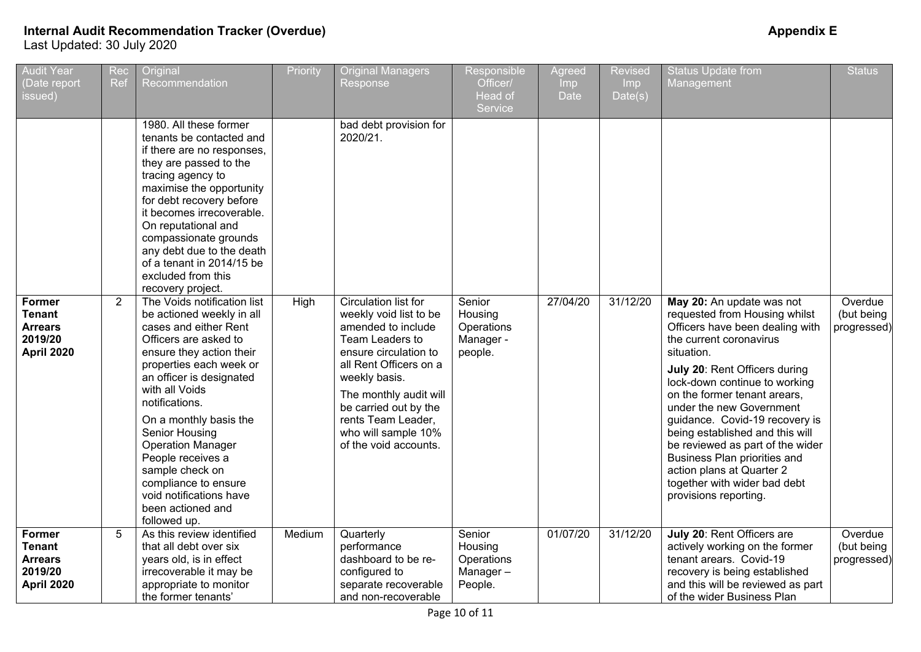| <b>Audit Year</b><br>(Date report<br>issued)                              | Rec<br>Ref     | Original<br>Recommendation                                                                                                                                                                                                                                                                                                                                                                                                                | Priority | <b>Original Managers</b><br>Response                                                                                                                                                                                                                                                 | Responsible<br>Officer/<br>Head of<br>Service           | Agreed<br><b>Imp</b><br><b>Date</b> | <b>Revised</b><br><b>Imp</b><br>Date(s) | <b>Status Update from</b><br>Management                                                                                                                                                                                                                                                                                                                                                                                                                                                             | <b>Status</b>                        |
|---------------------------------------------------------------------------|----------------|-------------------------------------------------------------------------------------------------------------------------------------------------------------------------------------------------------------------------------------------------------------------------------------------------------------------------------------------------------------------------------------------------------------------------------------------|----------|--------------------------------------------------------------------------------------------------------------------------------------------------------------------------------------------------------------------------------------------------------------------------------------|---------------------------------------------------------|-------------------------------------|-----------------------------------------|-----------------------------------------------------------------------------------------------------------------------------------------------------------------------------------------------------------------------------------------------------------------------------------------------------------------------------------------------------------------------------------------------------------------------------------------------------------------------------------------------------|--------------------------------------|
|                                                                           |                | 1980. All these former<br>tenants be contacted and<br>if there are no responses,<br>they are passed to the<br>tracing agency to<br>maximise the opportunity<br>for debt recovery before<br>it becomes irrecoverable.<br>On reputational and<br>compassionate grounds<br>any debt due to the death<br>of a tenant in 2014/15 be<br>excluded from this<br>recovery project.                                                                 |          | bad debt provision for<br>2020/21.                                                                                                                                                                                                                                                   |                                                         |                                     |                                         |                                                                                                                                                                                                                                                                                                                                                                                                                                                                                                     |                                      |
| Former<br><b>Tenant</b><br><b>Arrears</b><br>2019/20<br><b>April 2020</b> | $\overline{2}$ | The Voids notification list<br>be actioned weekly in all<br>cases and either Rent<br>Officers are asked to<br>ensure they action their<br>properties each week or<br>an officer is designated<br>with all Voids<br>notifications.<br>On a monthly basis the<br>Senior Housing<br><b>Operation Manager</b><br>People receives a<br>sample check on<br>compliance to ensure<br>void notifications have<br>been actioned and<br>followed up. | High     | Circulation list for<br>weekly void list to be<br>amended to include<br>Team Leaders to<br>ensure circulation to<br>all Rent Officers on a<br>weekly basis.<br>The monthly audit will<br>be carried out by the<br>rents Team Leader,<br>who will sample 10%<br>of the void accounts. | Senior<br>Housing<br>Operations<br>Manager -<br>people. | 27/04/20                            | 31/12/20                                | May 20: An update was not<br>requested from Housing whilst<br>Officers have been dealing with<br>the current coronavirus<br>situation.<br>July 20: Rent Officers during<br>lock-down continue to working<br>on the former tenant arears,<br>under the new Government<br>guidance. Covid-19 recovery is<br>being established and this will<br>be reviewed as part of the wider<br>Business Plan priorities and<br>action plans at Quarter 2<br>together with wider bad debt<br>provisions reporting. | Overdue<br>(but being<br>progressed) |
| Former<br><b>Tenant</b><br><b>Arrears</b><br>2019/20<br><b>April 2020</b> | 5              | As this review identified<br>that all debt over six<br>years old, is in effect<br>irrecoverable it may be<br>appropriate to monitor<br>the former tenants'                                                                                                                                                                                                                                                                                | Medium   | Quarterly<br>performance<br>dashboard to be re-<br>configured to<br>separate recoverable<br>and non-recoverable                                                                                                                                                                      | Senior<br>Housing<br>Operations<br>Manager-<br>People.  | 01/07/20                            | 31/12/20                                | July 20: Rent Officers are<br>actively working on the former<br>tenant arears. Covid-19<br>recovery is being established<br>and this will be reviewed as part<br>of the wider Business Plan                                                                                                                                                                                                                                                                                                         | Overdue<br>(but being<br>progressed) |